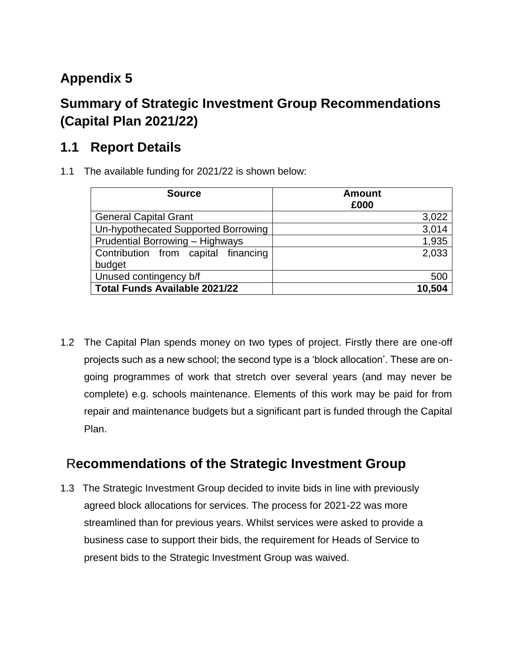## **Appendix 5**

## **Summary of Strategic Investment Group Recommendations (Capital Plan 2021/22)**

## **1.1 Report Details**

1.1 The available funding for 2021/22 is shown below:

| <b>Source</b>                          | <b>Amount</b><br>£000 |
|----------------------------------------|-----------------------|
| <b>General Capital Grant</b>           | 3,022                 |
| Un-hypothecated Supported Borrowing    | 3,014                 |
| <b>Prudential Borrowing - Highways</b> | 1,935                 |
| Contribution from capital financing    | 2,033                 |
| budget                                 |                       |
| Unused contingency b/f                 | 500                   |
| <b>Total Funds Available 2021/22</b>   | 10,504                |

1.2 The Capital Plan spends money on two types of project. Firstly there are one-off projects such as a new school; the second type is a 'block allocation'. These are ongoing programmes of work that stretch over several years (and may never be complete) e.g. schools maintenance. Elements of this work may be paid for from repair and maintenance budgets but a significant part is funded through the Capital Plan.

## R**ecommendations of the Strategic Investment Group**

1.3 The Strategic Investment Group decided to invite bids in line with previously agreed block allocations for services. The process for 2021-22 was more streamlined than for previous years. Whilst services were asked to provide a business case to support their bids, the requirement for Heads of Service to present bids to the Strategic Investment Group was waived.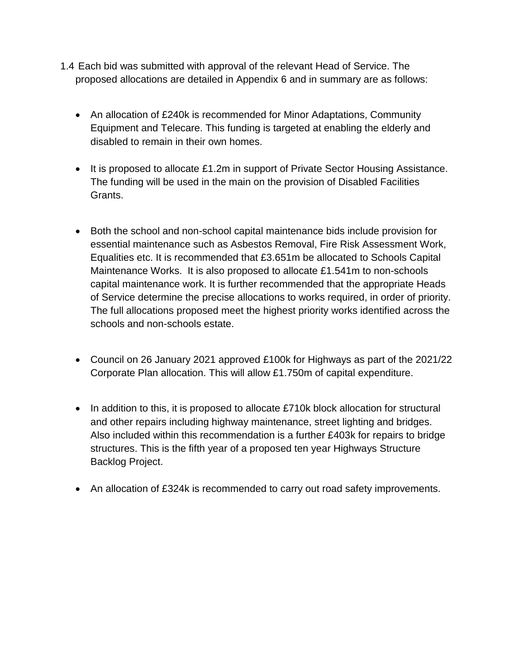- 1.4 Each bid was submitted with approval of the relevant Head of Service. The proposed allocations are detailed in Appendix 6 and in summary are as follows:
	- An allocation of £240k is recommended for Minor Adaptations, Community Equipment and Telecare. This funding is targeted at enabling the elderly and disabled to remain in their own homes.
	- It is proposed to allocate £1.2m in support of Private Sector Housing Assistance. The funding will be used in the main on the provision of Disabled Facilities Grants.
	- Both the school and non-school capital maintenance bids include provision for essential maintenance such as Asbestos Removal, Fire Risk Assessment Work, Equalities etc. It is recommended that £3.651m be allocated to Schools Capital Maintenance Works. It is also proposed to allocate £1.541m to non-schools capital maintenance work. It is further recommended that the appropriate Heads of Service determine the precise allocations to works required, in order of priority. The full allocations proposed meet the highest priority works identified across the schools and non-schools estate.
	- Council on 26 January 2021 approved £100k for Highways as part of the 2021/22 Corporate Plan allocation. This will allow £1.750m of capital expenditure.
	- In addition to this, it is proposed to allocate £710k block allocation for structural and other repairs including highway maintenance, street lighting and bridges. Also included within this recommendation is a further £403k for repairs to bridge structures. This is the fifth year of a proposed ten year Highways Structure Backlog Project.
	- An allocation of £324k is recommended to carry out road safety improvements.